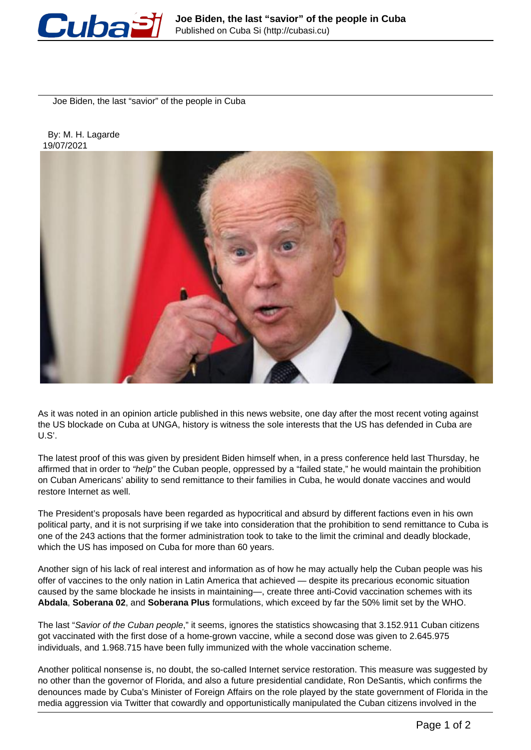

Joe Biden, the last "savior" of the people in Cuba

 By: M. H. Lagarde 19/07/2021



As it was noted in an opinion article published in this news website, one day after the most recent voting against the US blockade on Cuba at UNGA, history is witness the sole interests that the US has defended in Cuba are U.S'.

The latest proof of this was given by president Biden himself when, in a press conference held last Thursday, he affirmed that in order to "help" the Cuban people, oppressed by a "failed state," he would maintain the prohibition on Cuban Americans' ability to send remittance to their families in Cuba, he would donate vaccines and would restore Internet as well.

The President's proposals have been regarded as hypocritical and absurd by different factions even in his own political party, and it is not surprising if we take into consideration that the prohibition to send remittance to Cuba is one of the 243 actions that the former administration took to take to the limit the criminal and deadly blockade, which the US has imposed on Cuba for more than 60 years.

Another sign of his lack of real interest and information as of how he may actually help the Cuban people was his offer of vaccines to the only nation in Latin America that achieved — despite its precarious economic situation caused by the same blockade he insists in maintaining—, create three anti-Covid vaccination schemes with its **Abdala**, **Soberana 02**, and **Soberana Plus** formulations, which exceed by far the 50% limit set by the WHO.

The last "Savior of the Cuban people," it seems, ignores the statistics showcasing that 3.152.911 Cuban citizens got vaccinated with the first dose of a home-grown vaccine, while a second dose was given to 2.645.975 individuals, and 1.968.715 have been fully immunized with the whole vaccination scheme.

Another political nonsense is, no doubt, the so-called Internet service restoration. This measure was suggested by no other than the governor of Florida, and also a future presidential candidate, Ron DeSantis, which confirms the denounces made by Cuba's Minister of Foreign Affairs on the role played by the state government of Florida in the media aggression via Twitter that cowardly and opportunistically manipulated the Cuban citizens involved in the